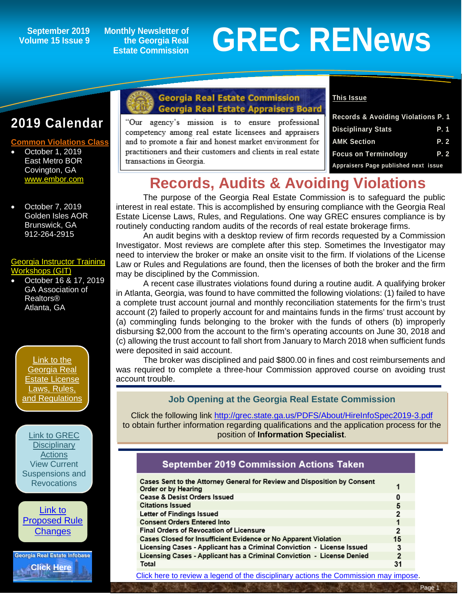**Volume 15 Issue 9**

**Monthly Newsletter of the Georgia Real Estate Commission**

# September 2019 Monthly Newsletter of<br>Dlume 15 Issue 9 Estate Commission **GREC RENEWS**

## **2019 Calendar**

#### **Common Violations Cla**

- October 1, 2019 East Metro BOR Covington, GA [www.embor.com](http://www.embor.com/)
- October 7, 2019 Golden Isles AOR Brunswick, GA 912-264-2915

#### [Georgia Instructor Training](http://www.grec-git.com/Instructor-Training/Current-GIT-Class-Schedule)  [Workshops \(GIT\)](http://www.grec-git.com/Instructor-Training/Current-GIT-Class-Schedule)

• October 16 & 17, 2019 GA Association of Realtors® Atlanta, GA

[Link to the](http://www.grec.state.ga.us/about/relaw.html)  [Georgia Real](http://www.grec.state.ga.us/about/relaw.html)  [Estate License](http://www.grec.state.ga.us/about/relaw.html)  [Laws, Rules,](http://www.grec.state.ga.us/about/relaw.html)  [and Regulations](http://www.grec.state.ga.us/about/relaw.html)

[Link to GREC](http://www.grec.state.ga.us/about/resanctions.html)  **Disciplinary [Actions](http://www.grec.state.ga.us/about/resanctions.html)** View Current [Suspensions and](http://www.grec.state.ga.us/about/resanctions.html)  **Revocations** 



Georgia Real Estate Infobase **[Click Here](https://www.grec.state.ga.us/infobase/infobase.html)**

#### **Georgia Real Estate Commission Georgia Real Estate Appraisers Board**

"Our agency's mission is to ensure professional competency among real estate licensees and appraisers and to promote a fair and honest market environment for practitioners and their customers and clients in real estate transactions in Georgia.

#### **This Issue**

| <b>Records &amp; Avoiding Violations P. 1</b> |            |
|-----------------------------------------------|------------|
| <b>Disciplinary Stats</b>                     | P. 1       |
| <b>AMK Section</b>                            | <b>P.2</b> |
| <b>Focus on Terminology</b>                   | P. 2       |
| Appraisers Page published next issue          |            |

## **Records, Audits & Avoiding Violations**

The purpose of the Georgia Real Estate Commission is to safeguard the public interest in real estate. This is accomplished by ensuring compliance with the Georgia Real Estate License Laws, Rules, and Regulations. One way GREC ensures compliance is by routinely conducting random audits of the records of real estate brokerage firms.

An audit begins with a desktop review of firm records requested by a Commission Investigator. Most reviews are complete after this step. Sometimes the Investigator may need to interview the broker or make an onsite visit to the firm. If violations of the License Law or Rules and Regulations are found, then the licenses of both the broker and the firm may be disciplined by the Commission.

A recent case illustrates violations found during a routine audit. A qualifying broker in Atlanta, Georgia, was found to have committed the following violations: (1) failed to have a complete trust account journal and monthly reconciliation statements for the firm's trust account (2) failed to properly account for and maintains funds in the firms' trust account by (a) commingling funds belonging to the broker with the funds of others (b) improperly disbursing \$2,000 from the account to the firm's operating accounts on June 30, 2018 and (c) allowing the trust account to fall short from January to March 2018 when sufficient funds were deposited in said account.

The broker was disciplined and paid \$800.00 in fines and cost reimbursements and was required to complete a three-hour Commission approved course on avoiding trust account trouble.

#### **Job Opening at the Georgia Real Estate Commission**

Click the following link<http://grec.state.ga.us/PDFS/About/HireInfoSpec2019-3.pdf> to obtain further information regarding qualifications and the application process for the position of **Information Specialist**.

#### **September 2019 Commission Actions Taken**

| Cases Sent to the Attorney General for Review and Disposition by Consent<br>Order or by Hearing |                |
|-------------------------------------------------------------------------------------------------|----------------|
| <b>Cease &amp; Desist Orders Issued</b>                                                         | o              |
| <b>Citations Issued</b>                                                                         | 5              |
| Letter of Findings Issued                                                                       | $\overline{2}$ |
| <b>Consent Orders Entered Into</b>                                                              |                |
| <b>Final Orders of Revocation of Licensure</b>                                                  | 2              |
| Cases Closed for Insufficient Evidence or No Apparent Violation                                 | 15             |
| Licensing Cases - Applicant has a Criminal Conviction - License Issued                          | 3              |
| Licensing Cases - Applicant has a Criminal Conviction - License Denied                          | $\overline{2}$ |
| Total                                                                                           | 31             |
|                                                                                                 |                |

[Click here to review a legend of the disciplinary actions the Commission may impose.](https://www.jmre.com/grec/GRECDisciplinaryTools.pdf)